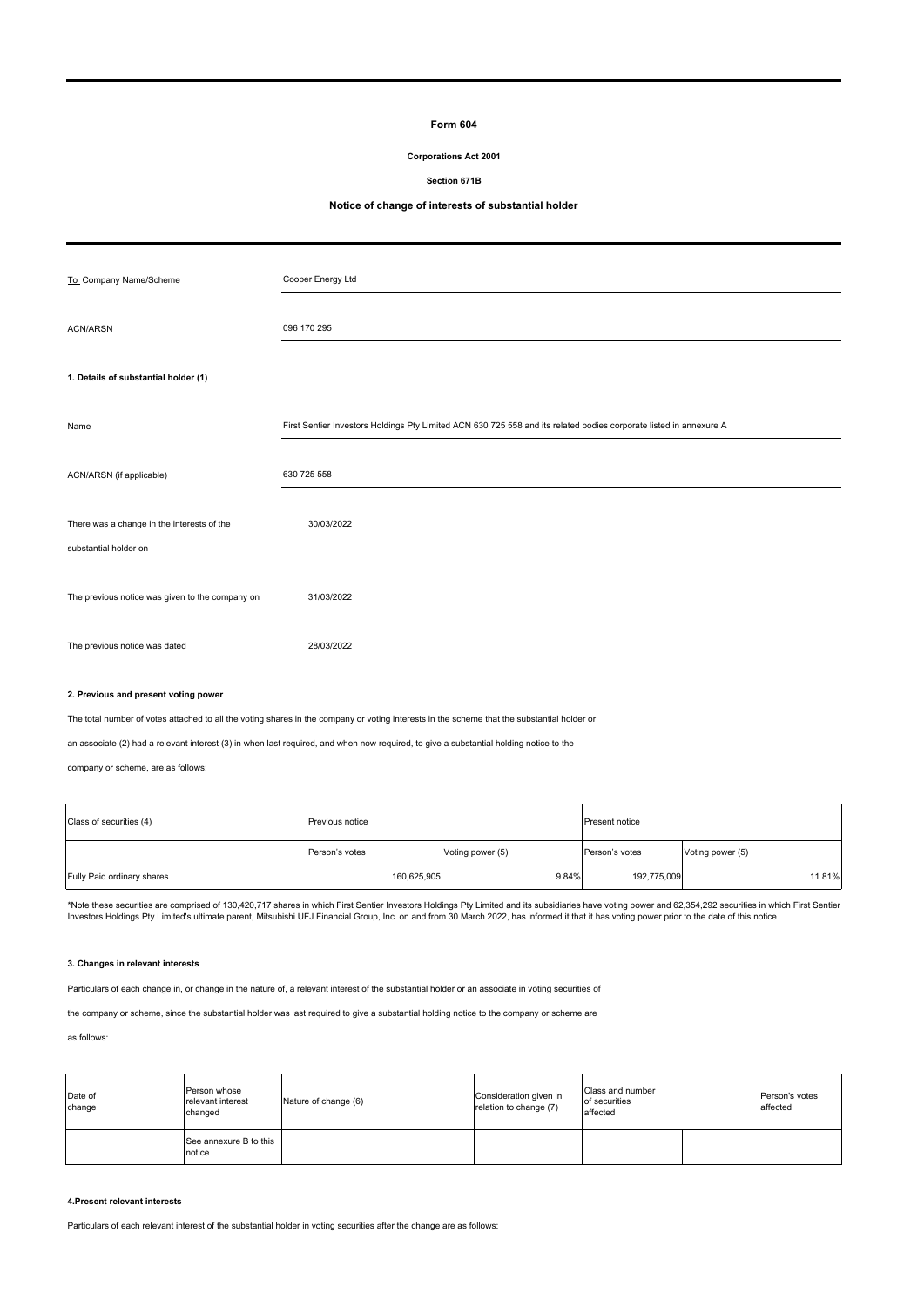## **Form 604**

## **Corporations Act 2001**

**Section 671B**

# **Notice of change of interests of substantial holder**

| To Company Name/Scheme                          | Cooper Energy Ltd                                                                                                  |
|-------------------------------------------------|--------------------------------------------------------------------------------------------------------------------|
| <b>ACN/ARSN</b>                                 | 096 170 295                                                                                                        |
| 1. Details of substantial holder (1)            |                                                                                                                    |
|                                                 |                                                                                                                    |
| Name                                            | First Sentier Investors Holdings Pty Limited ACN 630 725 558 and its related bodies corporate listed in annexure A |
| ACN/ARSN (if applicable)                        | 630 725 558                                                                                                        |
| There was a change in the interests of the      | 30/03/2022                                                                                                         |
| substantial holder on                           |                                                                                                                    |
| The previous notice was given to the company on | 31/03/2022                                                                                                         |
| The previous notice was dated                   | 28/03/2022                                                                                                         |

## **2. Previous and present voting power**

The total number of votes attached to all the voting shares in the company or voting interests in the scheme that the substantial holder or

an associate (2) had a relevant interest (3) in when last required, and when now required, to give a substantial holding notice to the

company or scheme, are as follows:

| Class of securities (4)    | <b>Previous notice</b> |                  | Present notice |                  |  |
|----------------------------|------------------------|------------------|----------------|------------------|--|
|                            | Person's votes         | Voting power (5) | Person's votes | Voting power (5) |  |
| Fully Paid ordinary shares | 160,625,905            | 9.84%            | 192,775,009    | 11.81%           |  |

\*Note these securities are comprised of 130,420,717 shares in which First Sentier Investors Holdings Pty Limited and its subsidiaries have voting power and 62,354,292 securities in which First Sentier<br>Investors Holdings Pt

#### **3. Changes in relevant interests**

Particulars of each change in, or change in the nature of, a relevant interest of the substantial holder or an associate in voting securities of

the company or scheme, since the substantial holder was last required to give a substantial holding notice to the company or scheme are

#### as follows:

| Date of<br>change | Person whose<br>relevant interest<br>changed | Nature of change (6) | Consideration given in<br>relation to change (7) | Class and number<br>of securities<br>affected |  | Person's votes<br>affected |
|-------------------|----------------------------------------------|----------------------|--------------------------------------------------|-----------------------------------------------|--|----------------------------|
|                   | See annexure B to this<br>notice             |                      |                                                  |                                               |  |                            |

## **4.Present relevant interests**

Particulars of each relevant interest of the substantial holder in voting securities after the change are as follows: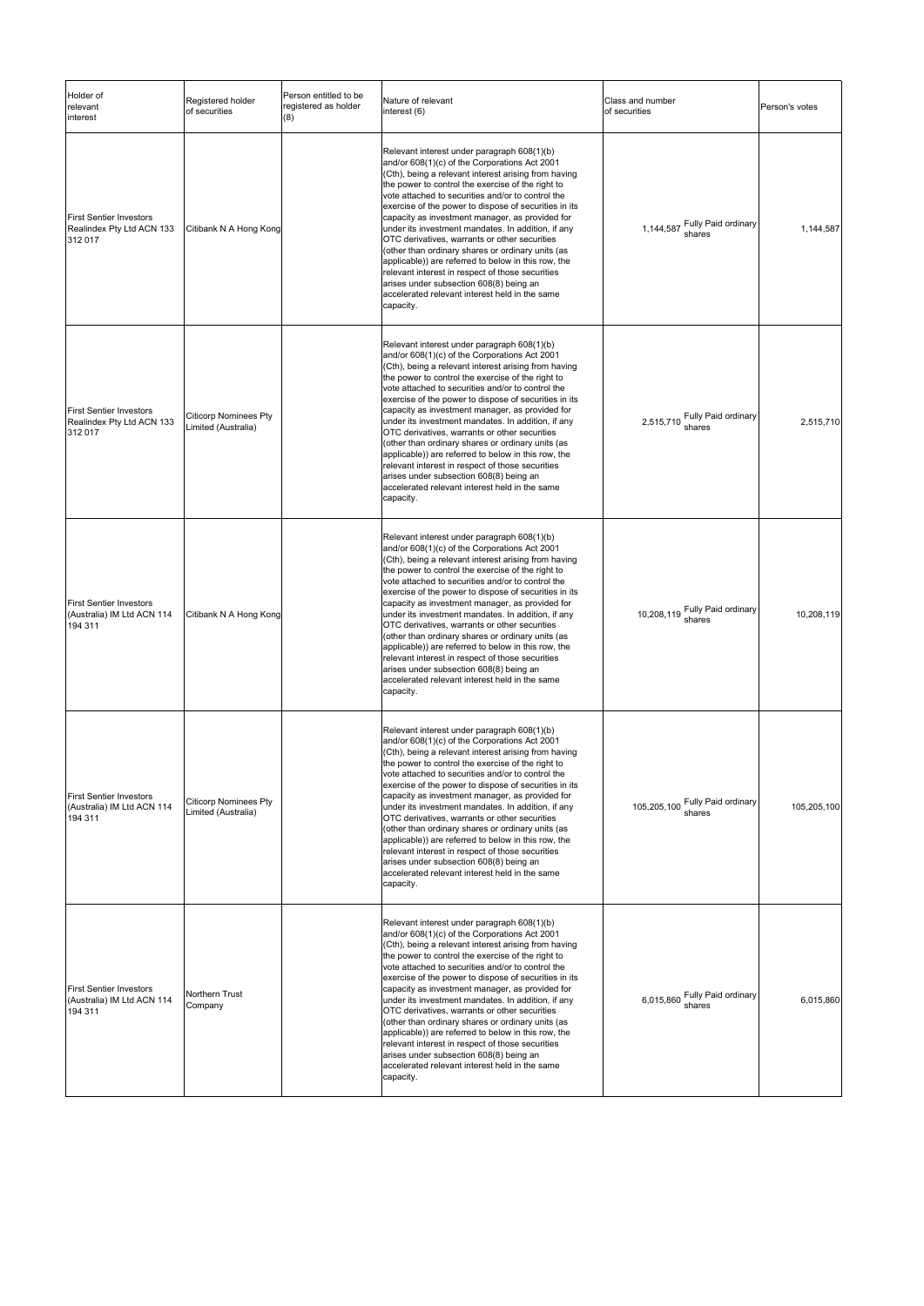| Holder of<br>relevant<br>interest                                       | Registered holder<br>of securities                  | Person entitled to be<br>registered as holder<br>(8) | Nature of relevant<br>interest (6)                                                                                                                                                                                                                                                                                                                                                                                                                                                                                                                                                                                                                                                                                                                          | Class and number<br>of securities         | Person's votes |
|-------------------------------------------------------------------------|-----------------------------------------------------|------------------------------------------------------|-------------------------------------------------------------------------------------------------------------------------------------------------------------------------------------------------------------------------------------------------------------------------------------------------------------------------------------------------------------------------------------------------------------------------------------------------------------------------------------------------------------------------------------------------------------------------------------------------------------------------------------------------------------------------------------------------------------------------------------------------------------|-------------------------------------------|----------------|
| <b>First Sentier Investors</b><br>Realindex Pty Ltd ACN 133<br>312 017  | Citibank N A Hong Kong                              |                                                      | Relevant interest under paragraph 608(1)(b)<br>and/or 608(1)(c) of the Corporations Act 2001<br>(Cth), being a relevant interest arising from having<br>the power to control the exercise of the right to<br>vote attached to securities and/or to control the<br>exercise of the power to dispose of securities in its<br>capacity as investment manager, as provided for<br>under its investment mandates. In addition, if any<br>OTC derivatives, warrants or other securities<br>(other than ordinary shares or ordinary units (as<br>applicable)) are referred to below in this row, the<br>relevant interest in respect of those securities<br>arises under subsection 608(8) being an<br>accelerated relevant interest held in the same<br>capacity. | 1,144,587 Fully Paid ordinary<br>shares   | 1,144,587      |
| <b>First Sentier Investors</b><br>Realindex Pty Ltd ACN 133<br>312 017  | <b>Citicorp Nominees Pty</b><br>Limited (Australia) |                                                      | Relevant interest under paragraph 608(1)(b)<br>and/or 608(1)(c) of the Corporations Act 2001<br>(Cth), being a relevant interest arising from having<br>the power to control the exercise of the right to<br>vote attached to securities and/or to control the<br>exercise of the power to dispose of securities in its<br>capacity as investment manager, as provided for<br>under its investment mandates. In addition, if any<br>OTC derivatives, warrants or other securities<br>(other than ordinary shares or ordinary units (as<br>applicable)) are referred to below in this row, the<br>relevant interest in respect of those securities<br>arises under subsection 608(8) being an<br>accelerated relevant interest held in the same<br>capacity. | 2,515,710 Fully Paid ordinary<br>shares   | 2,515,710      |
| <b>First Sentier Investors</b><br>(Australia) IM Ltd ACN 114<br>194 311 | Citibank N A Hong Kong                              |                                                      | Relevant interest under paragraph 608(1)(b)<br>and/or 608(1)(c) of the Corporations Act 2001<br>(Cth), being a relevant interest arising from having<br>the power to control the exercise of the right to<br>vote attached to securities and/or to control the<br>exercise of the power to dispose of securities in its<br>capacity as investment manager, as provided for<br>under its investment mandates. In addition, if any<br>OTC derivatives, warrants or other securities<br>(other than ordinary shares or ordinary units (as<br>applicable)) are referred to below in this row, the<br>relevant interest in respect of those securities<br>arises under subsection 608(8) being an<br>accelerated relevant interest held in the same<br>capacity. | 10,208,119 Fully Paid ordinary            | 10,208,119     |
| <b>First Sentier Investors</b><br>(Australia) IM Ltd ACN 114<br>194 311 | <b>Citicorp Nominees Pty</b><br>Limited (Australia) |                                                      | Relevant interest under paragraph 608(1)(b)<br>and/or 608(1)(c) of the Corporations Act 2001<br>(Cth), being a relevant interest arising from having<br>the power to control the exercise of the right to<br>ote attached to securities and/or to control the<br>exercise of the power to dispose of securities in its<br>capacity as investment manager, as provided for<br>under its investment mandates. In addition, if any<br>OTC derivatives, warrants or other securities<br>(other than ordinary shares or ordinary units (as<br>applicable)) are referred to below in this row, the<br>relevant interest in respect of those securities<br>arises under subsection 608(8) being an<br>accelerated relevant interest held in the same<br>capacity.  | 105,205,100 Fully Paid ordinary<br>shares | 105,205,100    |
| <b>First Sentier Investors</b><br>(Australia) IM Ltd ACN 114<br>194 311 | Northern Trust<br>Company                           |                                                      | Relevant interest under paragraph 608(1)(b)<br>and/or 608(1)(c) of the Corporations Act 2001<br>(Cth), being a relevant interest arising from having<br>the power to control the exercise of the right to<br>vote attached to securities and/or to control the<br>exercise of the power to dispose of securities in its<br>capacity as investment manager, as provided for<br>under its investment mandates. In addition, if any<br>OTC derivatives, warrants or other securities<br>(other than ordinary shares or ordinary units (as<br>applicable)) are referred to below in this row, the<br>relevant interest in respect of those securities<br>arises under subsection 608(8) being an<br>accelerated relevant interest held in the same<br>capacity. | 6,015,860 Fully Paid ordinary             | 6,015,860      |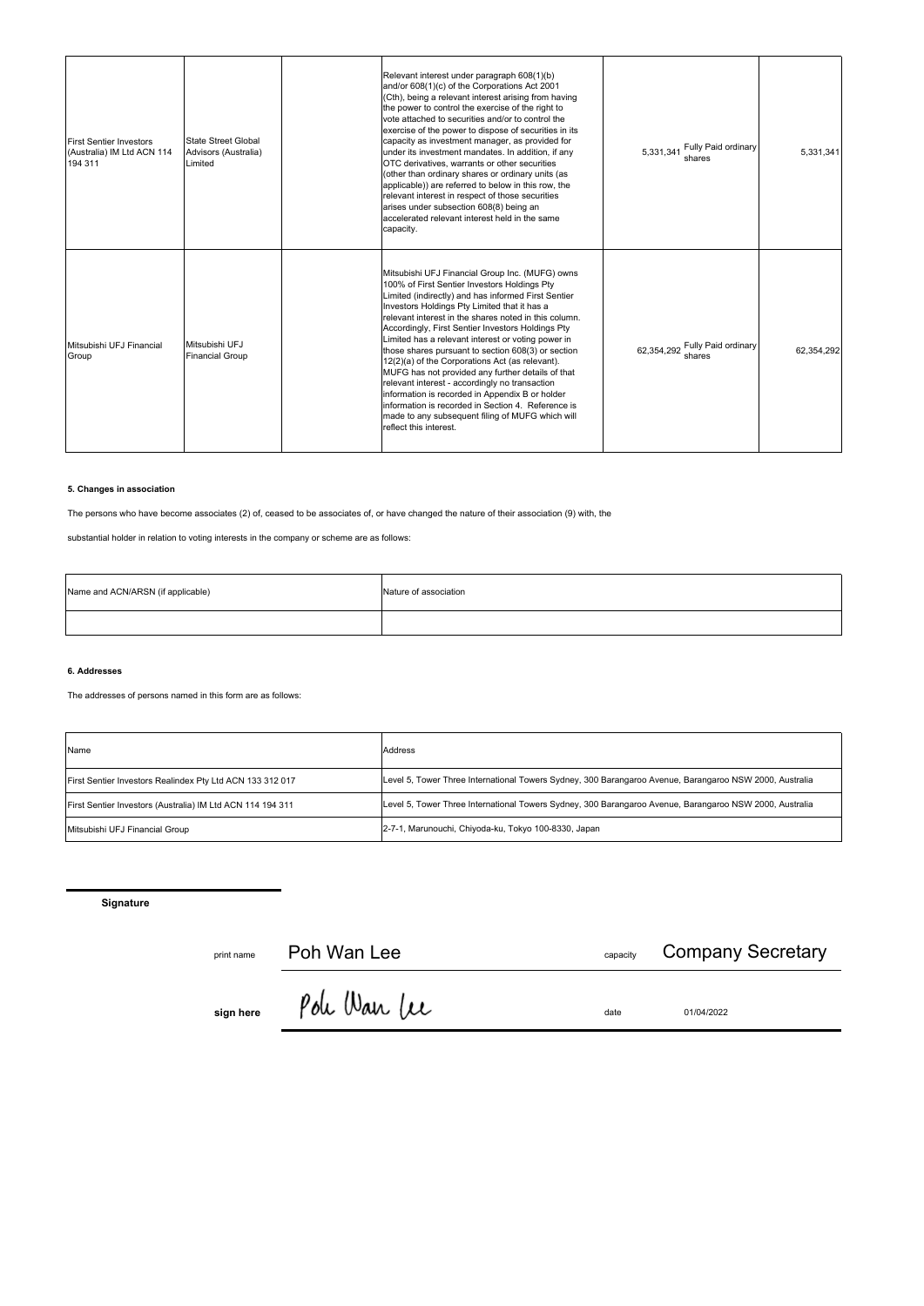| <b>First Sentier Investors</b><br>(Australia) IM Ltd ACN 114<br>194 311 | State Street Global<br>Advisors (Australia)<br>Limited | Relevant interest under paragraph 608(1)(b)<br>and/or 608(1)(c) of the Corporations Act 2001<br>(Cth), being a relevant interest arising from having<br>the power to control the exercise of the right to<br>vote attached to securities and/or to control the<br>exercise of the power to dispose of securities in its<br>capacity as investment manager, as provided for<br>under its investment mandates. In addition, if any<br>OTC derivatives, warrants or other securities<br>(other than ordinary shares or ordinary units (as<br>applicable)) are referred to below in this row, the<br>relevant interest in respect of those securities<br>arises under subsection 608(8) being an<br>accelerated relevant interest held in the same<br>capacity.                       | Fully Paid ordinary<br>5,331,341<br>shares  | 5.331.341  |
|-------------------------------------------------------------------------|--------------------------------------------------------|-----------------------------------------------------------------------------------------------------------------------------------------------------------------------------------------------------------------------------------------------------------------------------------------------------------------------------------------------------------------------------------------------------------------------------------------------------------------------------------------------------------------------------------------------------------------------------------------------------------------------------------------------------------------------------------------------------------------------------------------------------------------------------------|---------------------------------------------|------------|
| Mitsubishi UFJ Financial<br>Group                                       | Mitsubishi UFJ<br><b>Financial Group</b>               | Mitsubishi UFJ Financial Group Inc. (MUFG) owns<br>100% of First Sentier Investors Holdings Pty<br>Limited (indirectly) and has informed First Sentier<br>Investors Holdings Pty Limited that it has a<br>relevant interest in the shares noted in this column.<br>Accordingly, First Sentier Investors Holdings Pty<br>Limited has a relevant interest or voting power in<br>those shares pursuant to section 608(3) or section<br>12(2)(a) of the Corporations Act (as relevant).<br>MUFG has not provided any further details of that<br>relevant interest - accordingly no transaction<br>information is recorded in Appendix B or holder<br>information is recorded in Section 4. Reference is<br>made to any subsequent filing of MUFG which will<br>reflect this interest. | Fully Paid ordinary<br>62.354.292<br>shares | 62.354.292 |

# **5. Changes in association**

The persons who have become associates (2) of, ceased to be associates of, or have changed the nature of their association (9) with, the

substantial holder in relation to voting interests in the company or scheme are as follows:

| Name and ACN/ARSN (if applicable) | Nature of association |
|-----------------------------------|-----------------------|
|                                   |                       |

## **6. Addresses**

The addresses of persons named in this form are as follows:

| Name                                                       | <b>Address</b>                                                                                          |
|------------------------------------------------------------|---------------------------------------------------------------------------------------------------------|
| First Sentier Investors Realindex Pty Ltd ACN 133 312 017  | Level 5, Tower Three International Towers Sydney, 300 Barangaroo Avenue, Barangaroo NSW 2000, Australia |
| First Sentier Investors (Australia) IM Ltd ACN 114 194 311 | Level 5, Tower Three International Towers Sydney, 300 Barangaroo Avenue, Barangaroo NSW 2000, Australia |
| Mitsubishi UFJ Financial Group                             | 2-7-1, Marunouchi, Chiyoda-ku, Tokyo 100-8330, Japan                                                    |

**Signature**

print name **capacity capacity capacity** 

<sub>capacity</sub> Company Secretary

**sign here**  $\int$  *UW* V *UW* (*LCC* date date 01/04/2022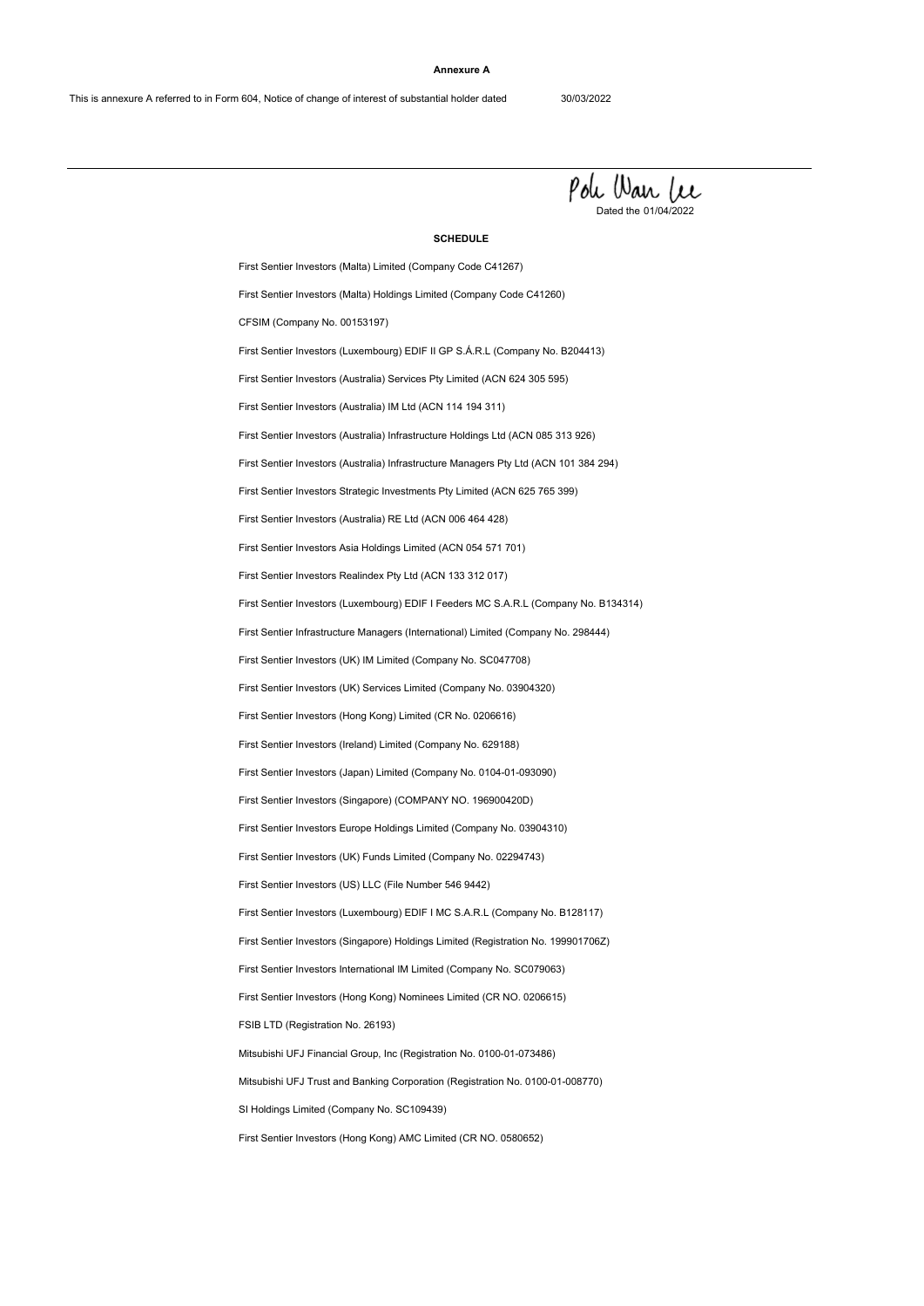#### **Annexure A**



#### **SCHEDULE**

First Sentier Investors (Luxembourg) EDIF I Feeders MC S.A.R.L (Company No. B134314) First Sentier Investors Asia Holdings Limited (ACN 054 571 701) First Sentier Investors Realindex Pty Ltd (ACN 133 312 017) First Sentier Investors (Australia) RE Ltd (ACN 006 464 428) SI Holdings Limited (Company No. SC109439) Mitsubishi UFJ Financial Group, Inc (Registration No. 0100-01-073486) First Sentier Investors (Malta) Holdings Limited (Company Code C41260) First Sentier Investors (US) LLC (File Number 546 9442) First Sentier Investors (Hong Kong) Nominees Limited (CR NO. 0206615) First Sentier Investors (Luxembourg) EDIF II GP S.Á.R.L (Company No. B204413) First Sentier Investors (Singapore) Holdings Limited (Registration No. 199901706Z) First Sentier Investors (Australia) IM Ltd (ACN 114 194 311) First Sentier Investors (Japan) Limited (Company No. 0104-01-093090) First Sentier Investors (Australia) Infrastructure Managers Pty Ltd (ACN 101 384 294) First Sentier Investors Europe Holdings Limited (Company No. 03904310) First Sentier Investors (Hong Kong) Limited (CR No. 0206616) First Sentier Investors (UK) IM Limited (Company No. SC047708) First Sentier Investors (Hong Kong) AMC Limited (CR NO. 0580652) Mitsubishi UFJ Trust and Banking Corporation (Registration No. 0100-01-008770) First Sentier Investors International IM Limited (Company No. SC079063) First Sentier Investors (Malta) Limited (Company Code C41267) CFSIM (Company No. 00153197) FSIB LTD (Registration No. 26193) First Sentier Investors (UK) Funds Limited (Company No. 02294743) First Sentier Investors (Luxembourg) EDIF I MC S.A.R.L (Company No. B128117) First Sentier Investors (Australia) Services Pty Limited (ACN 624 305 595) First Sentier Investors (Australia) Infrastructure Holdings Ltd (ACN 085 313 926) First Sentier Investors (Ireland) Limited (Company No. 629188) First Sentier Investors (Singapore) (COMPANY NO. 196900420D) First Sentier Investors Strategic Investments Pty Limited (ACN 625 765 399) First Sentier Investors (UK) Services Limited (Company No. 03904320) First Sentier Infrastructure Managers (International) Limited (Company No. 298444)